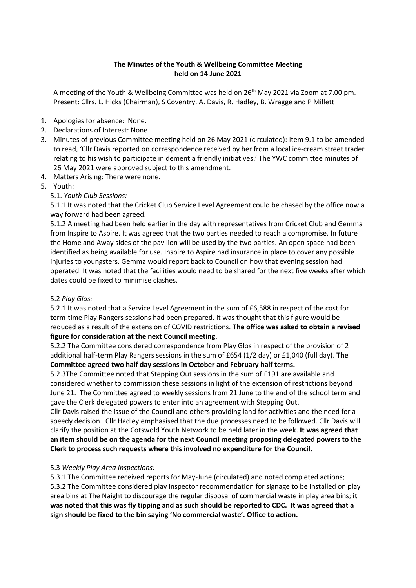# **The Minutes of the Youth & Wellbeing Committee Meeting held on 14 June 2021**

A meeting of the Youth & Wellbeing Committee was held on 26<sup>th</sup> May 2021 via Zoom at 7.00 pm. Present: Cllrs. L. Hicks (Chairman), S Coventry, A. Davis, R. Hadley, B. Wragge and P Millett

- 1. Apologies for absence: None.
- 2. Declarations of Interest: None
- 3. Minutes of previous Committee meeting held on 26 May 2021 (circulated): Item 9.1 to be amended to read, 'Cllr Davis reported on correspondence received by her from a local ice-cream street trader relating to his wish to participate in dementia friendly initiatives.' The YWC committee minutes of 26 May 2021 were approved subject to this amendment.
- 4. Matters Arising: There were none.
- 5. Youth:

# 5.1. *Youth Club Sessions:*

5.1.1 It was noted that the Cricket Club Service Level Agreement could be chased by the office now a way forward had been agreed.

5.1.2 A meeting had been held earlier in the day with representatives from Cricket Club and Gemma from Inspire to Aspire. It was agreed that the two parties needed to reach a compromise. In future the Home and Away sides of the pavilion will be used by the two parties. An open space had been identified as being available for use. Inspire to Aspire had insurance in place to cover any possible injuries to youngsters. Gemma would report back to Council on how that evening session had operated. It was noted that the facilities would need to be shared for the next five weeks after which dates could be fixed to minimise clashes.

## 5.2 *Play Glos:*

5.2.1 It was noted that a Service Level Agreement in the sum of £6,588 in respect of the cost for term-time Play Rangers sessions had been prepared. It was thought that this figure would be reduced as a result of the extension of COVID restrictions. **The office was asked to obtain a revised figure for consideration at the next Council meeting**.

5.2.2 The Committee considered correspondence from Play Glos in respect of the provision of 2 additional half-term Play Rangers sessions in the sum of £654 (1/2 day) or £1,040 (full day). **The Committee agreed two half day sessions in October and February half terms.**

5.2.3The Committee noted that Stepping Out sessions in the sum of £191 are available and considered whether to commission these sessions in light of the extension of restrictions beyond June 21. The Committee agreed to weekly sessions from 21 June to the end of the school term and gave the Clerk delegated powers to enter into an agreement with Stepping Out.

Cllr Davis raised the issue of the Council and others providing land for activities and the need for a speedy decision. Cllr Hadley emphasised that the due processes need to be followed. Cllr Davis will clarify the position at the Cotswold Youth Network to be held later in the week. **It was agreed that an item should be on the agenda for the next Council meeting proposing delegated powers to the Clerk to process such requests where this involved no expenditure for the Council.**

## 5.3 *Weekly Play Area Inspections:*

5.3.1 The Committee received reports for May-June (circulated) and noted completed actions; 5.3.2 The Committee considered play inspector recommendation for signage to be installed on play area bins at The Naight to discourage the regular disposal of commercial waste in play area bins; **it was noted that this was fly tipping and as such should be reported to CDC. It was agreed that a sign should be fixed to the bin saying 'No commercial waste'. Office to action.**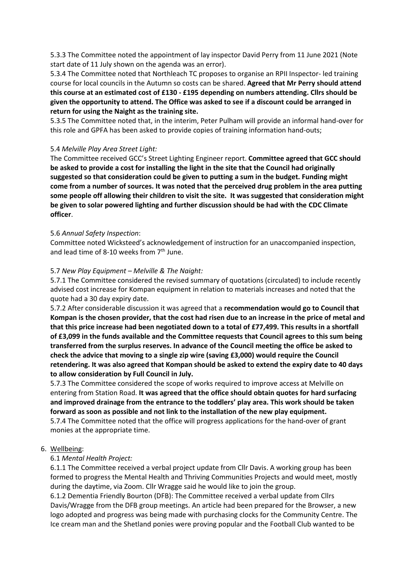5.3.3 The Committee noted the appointment of lay inspector David Perry from 11 June 2021 (Note start date of 11 July shown on the agenda was an error).

5.3.4 The Committee noted that Northleach TC proposes to organise an RPII Inspector- led training course for local councils in the Autumn so costs can be shared. **Agreed that Mr Perry should attend this course at an estimated cost of £130 - £195 depending on numbers attending. Cllrs should be given the opportunity to attend. The Office was asked to see if a discount could be arranged in return for using the Naight as the training site.** 

5.3.5 The Committee noted that, in the interim, Peter Pulham will provide an informal hand-over for this role and GPFA has been asked to provide copies of training information hand-outs;

## 5.4 *Melville Play Area Street Light:*

The Committee received GCC's Street Lighting Engineer report. **Committee agreed that GCC should be asked to provide a cost for installing the light in the site that the Council had originally suggested so that consideration could be given to putting a sum in the budget. Funding might come from a number of sources. It was noted that the perceived drug problem in the area putting some people off allowing their children to visit the site. It was suggested that consideration might be given to solar powered lighting and further discussion should be had with the CDC Climate officer**.

#### 5.6 *Annual Safety Inspection*:

Committee noted Wicksteed's acknowledgement of instruction for an unaccompanied inspection, and lead time of 8-10 weeks from 7<sup>th</sup> June.

#### 5.7 *New Play Equipment – Melville & The Naight:*

5.7.1 The Committee considered the revised summary of quotations (circulated) to include recently advised cost increase for Kompan equipment in relation to materials increases and noted that the quote had a 30 day expiry date.

5.7.2 After considerable discussion it was agreed that a **recommendation would go to Council that Kompan is the chosen provider, that the cost had risen due to an increase in the price of metal and that this price increase had been negotiated down to a total of £77,499. This results in a shortfall of £3,099 in the funds available and the Committee requests that Council agrees to this sum being transferred from the surplus reserves. In advance of the Council meeting the office be asked to check the advice that moving to a single zip wire (saving £3,000) would require the Council retendering. It was also agreed that Kompan should be asked to extend the expiry date to 40 days to allow consideration by Full Council in July.** 

5.7.3 The Committee considered the scope of works required to improve access at Melville on entering from Station Road. **It was agreed that the office should obtain quotes for hard surfacing and improved drainage from the entrance to the toddlers' play area. This work should be taken forward as soon as possible and not link to the installation of the new play equipment.**

5.7.4 The Committee noted that the office will progress applications for the hand-over of grant monies at the appropriate time.

#### 6. Wellbeing:

## 6.1 *Mental Health Project:*

6.1.1 The Committee received a verbal project update from Cllr Davis. A working group has been formed to progress the Mental Health and Thriving Communities Projects and would meet, mostly during the daytime, via Zoom. Cllr Wragge said he would like to join the group.

6.1.2 Dementia Friendly Bourton (DFB): The Committee received a verbal update from Cllrs Davis/Wragge from the DFB group meetings. An article had been prepared for the Browser, a new logo adopted and progress was being made with purchasing clocks for the Community Centre. The Ice cream man and the Shetland ponies were proving popular and the Football Club wanted to be